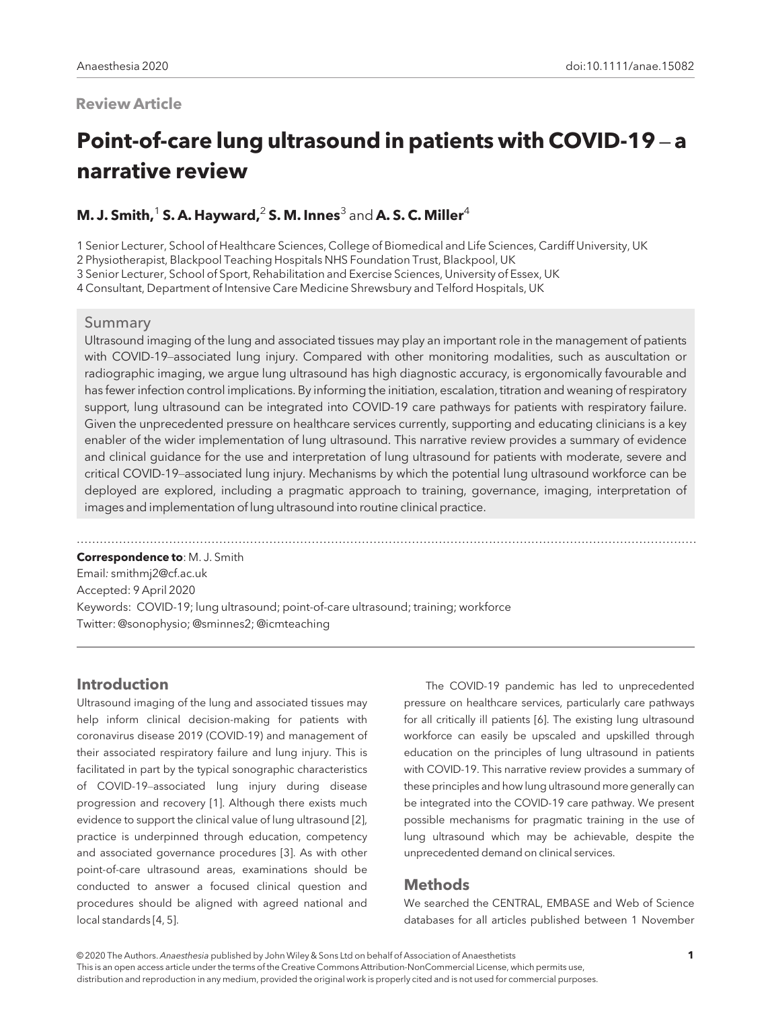## Review Article

# Point-of-care lung ultrasound in patients with COVID-19 – a narrative review

## M. J. Smith,<sup>1</sup> S. A. Hayward,<sup>2</sup> S. M. Innes<sup>3</sup> and A. S. C. Miller<sup>4</sup>

1 Senior Lecturer, School of Healthcare Sciences, College of Biomedical and Life Sciences, Cardiff University, UK

2 Physiotherapist, Blackpool Teaching Hospitals NHS Foundation Trust, Blackpool, UK

3 Senior Lecturer, School of Sport, Rehabilitation and Exercise Sciences, University of Essex, UK

4 Consultant, Department of Intensive Care Medicine Shrewsbury and Telford Hospitals, UK

#### Summary

Ultrasound imaging of the lung and associated tissues may play an important role in the management of patients with COVID-19–associated lung injury. Compared with other monitoring modalities, such as auscultation or radiographic imaging, we argue lung ultrasound has high diagnostic accuracy, is ergonomically favourable and has fewer infection control implications. By informing the initiation, escalation, titration and weaning of respiratory support, lung ultrasound can be integrated into COVID-19 care pathways for patients with respiratory failure. Given the unprecedented pressure on healthcare services currently, supporting and educating clinicians is a key enabler of the wider implementation of lung ultrasound. This narrative review provides a summary of evidence and clinical guidance for the use and interpretation of lung ultrasound for patients with moderate, severe and critical COVID-19–associated lung injury. Mechanisms by which the potential lung ultrasound workforce can be deployed are explored, including a pragmatic approach to training, governance, imaging, interpretation of images and implementation of lung ultrasound into routine clinical practice.

.................................................................................................................................................................

Correspondence to: M. J. Smith Email: [smithmj2@cf.ac.uk](mailto:) Accepted: 9 April 2020 Keywords: COVID-19; lung ultrasound; point-of-care ultrasound; training; workforce Twitter: @sonophysio; @sminnes2; @icmteaching

## Introduction

Ultrasound imaging of the lung and associated tissues may help inform clinical decision-making for patients with coronavirus disease 2019 (COVID-19) and management of their associated respiratory failure and lung injury. This is facilitated in part by the typical sonographic characteristics of COVID-19–associated lung injury during disease progression and recovery [1]. Although there exists much evidence to support the clinical value of lung ultrasound [2], practice is underpinned through education, competency and associated governance procedures [3]. As with other point-of-care ultrasound areas, examinations should be conducted to answer a focused clinical question and procedures should be aligned with agreed national and local standards [4, 5].

The COVID-19 pandemic has led to unprecedented pressure on healthcare services, particularly care pathways for all critically ill patients [6]. The existing lung ultrasound workforce can easily be upscaled and upskilled through education on the principles of lung ultrasound in patients with COVID-19. This narrative review provides a summary of these principles and how lung ultrasound more generally can be integrated into the COVID-19 care pathway. We present possible mechanisms for pragmatic training in the use of lung ultrasound which may be achievable, despite the unprecedented demand on clinical services.

## **Methods**

We searched the CENTRAL, EMBASE and Web of Science databases for all articles published between 1 November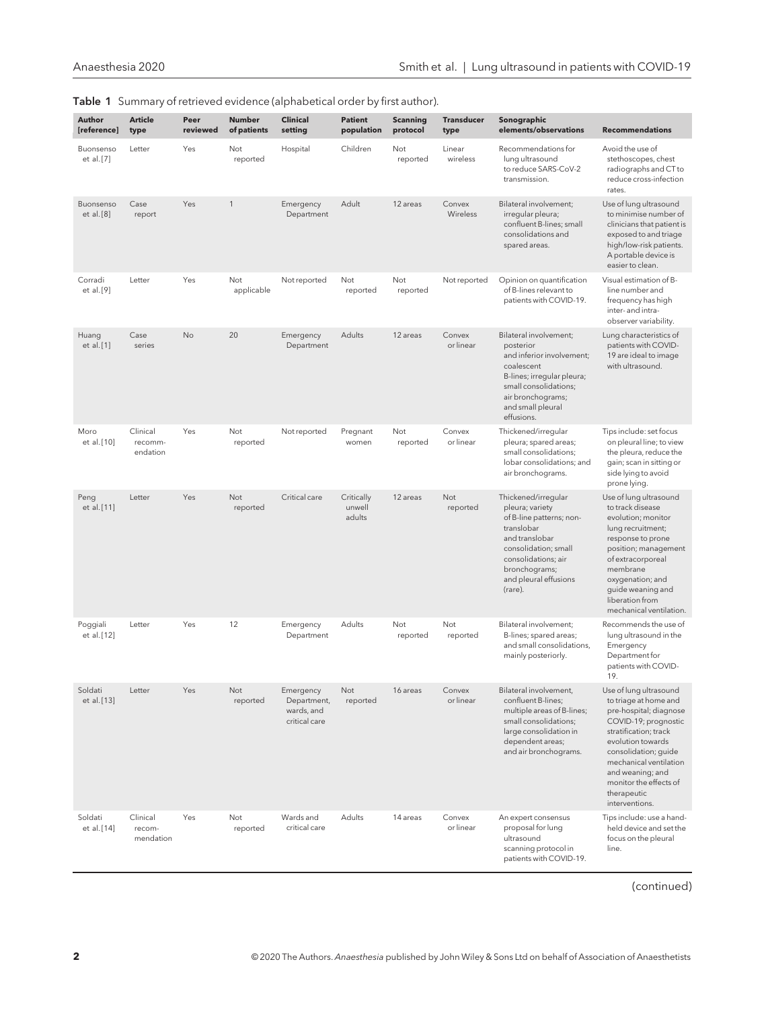| Author<br>[reference]   | <b>Article</b><br>type          | Peer<br>reviewed | Number<br>of patients  | <b>Clinical</b><br>setting                              | <b>Patient</b><br>population   | <b>Scanning</b><br>protocol | <b>Transducer</b><br>type | Sonographic<br>elements/observations                                                                                                                                                                   | <b>Recommendations</b>                                                                                                                                                                                                                                                           |
|-------------------------|---------------------------------|------------------|------------------------|---------------------------------------------------------|--------------------------------|-----------------------------|---------------------------|--------------------------------------------------------------------------------------------------------------------------------------------------------------------------------------------------------|----------------------------------------------------------------------------------------------------------------------------------------------------------------------------------------------------------------------------------------------------------------------------------|
| Buonsenso<br>et al. [7] | Letter                          | Yes              | Not<br>reported        | Hospital                                                | Children                       | Not<br>reported             | Linear<br>wireless        | Recommendations for<br>lung ultrasound<br>to reduce SARS-CoV-2<br>transmission.                                                                                                                        | Avoid the use of<br>stethoscopes, chest<br>radiographs and CT to<br>reduce cross-infection<br>rates.                                                                                                                                                                             |
| Buonsenso<br>et al. [8] | Case<br>report                  | Yes              | $\mathbf{1}$           | Emergency<br>Department                                 | Adult                          | 12 areas                    | Convex<br>Wireless        | Bilateral involvement;<br>irregular pleura;<br>confluent B-lines; small<br>consolidations and<br>spared areas.                                                                                         | Use of lung ultrasound<br>to minimise number of<br>clinicians that patient is<br>exposed to and triage<br>high/low-risk patients.<br>A portable device is<br>easier to clean.                                                                                                    |
| Corradi<br>et al. [9]   | Letter                          | Yes              | Not<br>applicable      | Not reported                                            | Not<br>reported                | Not<br>reported             | Not reported              | Opinion on quantification<br>of B-lines relevant to<br>patients with COVID-19.                                                                                                                         | Visual estimation of B-<br>line number and<br>frequency has high<br>inter- and intra-<br>observer variability.                                                                                                                                                                   |
| Huang<br>et al. [1]     | Case<br>series                  | No               | 20                     | Emergency<br>Department                                 | Adults                         | 12 areas                    | Convex<br>or linear       | Bilateral involvement;<br>posterior<br>and inferior involvement;<br>coalescent<br>B-lines; irregular pleura;<br>small consolidations;<br>air bronchograms;<br>and small pleural<br>effusions.          | Lung characteristics of<br>patients with COVID-<br>19 are ideal to image<br>with ultrasound.                                                                                                                                                                                     |
| Moro<br>et al. [10]     | Clinical<br>recomm-<br>endation | Yes              | Not<br>reported        | Not reported                                            | Pregnant<br>women              | Not<br>reported             | Convex<br>or linear       | Thickened/irregular<br>pleura; spared areas;<br>small consolidations;<br>lobar consolidations; and<br>air bronchograms.                                                                                | Tips include: set focus<br>on pleural line; to view<br>the pleura, reduce the<br>gain; scan in sitting or<br>side lying to avoid<br>prone lying.                                                                                                                                 |
| Peng<br>et al. [11]     | Letter                          | Yes              | Not<br>reported        | Critical care                                           | Critically<br>unwell<br>adults | 12 areas                    | Not<br>reported           | Thickened/irregular<br>pleura; variety<br>of B-line patterns; non-<br>translobar<br>and translobar<br>consolidation; small<br>consolidations; air<br>bronchograms;<br>and pleural effusions<br>(rare). | Use of lung ultrasound<br>to track disease<br>evolution; monitor<br>lung recruitment;<br>response to prone<br>position; management<br>of extracorporeal<br>membrane<br>oxygenation; and<br>guide weaning and<br>liberation from<br>mechanical ventilation.                       |
| Poggiali<br>et al. [12] | Letter                          | Yes              | 12                     | Emergency<br>Department                                 | Adults                         | Not<br>reported             | Not<br>reported           | Bilateral involvement:<br>B-lines; spared areas;<br>and small consolidations,<br>mainly posteriorly.                                                                                                   | Recommends the use of<br>lung ultrasound in the<br>Emergency<br>Department for<br>patients with COVID-<br>19.                                                                                                                                                                    |
| Soldati<br>et al. [13]  | Letter                          | Yes              | Not<br>reported        | Emergency<br>Department,<br>wards, and<br>critical care | Not<br>reported                | 16 areas                    | Convex<br>or linear       | Bilateral involvement,<br>confluent B-lines;<br>multiple areas of B-lines;<br>small consolidations;<br>large consolidation in<br>dependent areas;<br>and air bronchograms.                             | Use of lung ultrasound<br>to triage at home and<br>pre-hospital; diagnose<br>COVID-19; prognostic<br>stratification; track<br>evolution towards<br>consolidation; guide<br>mechanical ventilation<br>and weaning; and<br>monitor the effects of<br>therapeutic<br>interventions. |
| Soldati<br>et al. [14]  | Clinical<br>recom-<br>mendation | Yes              | <b>Not</b><br>reported | Wards and<br>critical care                              | Adults                         | 14 areas                    | Convex<br>or linear       | An expert consensus<br>proposal for lung<br>ultrasound<br>scanning protocol in<br>patients with COVID-19.                                                                                              | Tips include: use a hand-<br>held device and set the<br>focus on the pleural<br>line.                                                                                                                                                                                            |

| Table 1 Summary of retrieved evidence (alphabetical order by first author). |  |  |  |
|-----------------------------------------------------------------------------|--|--|--|
|                                                                             |  |  |  |

(continued)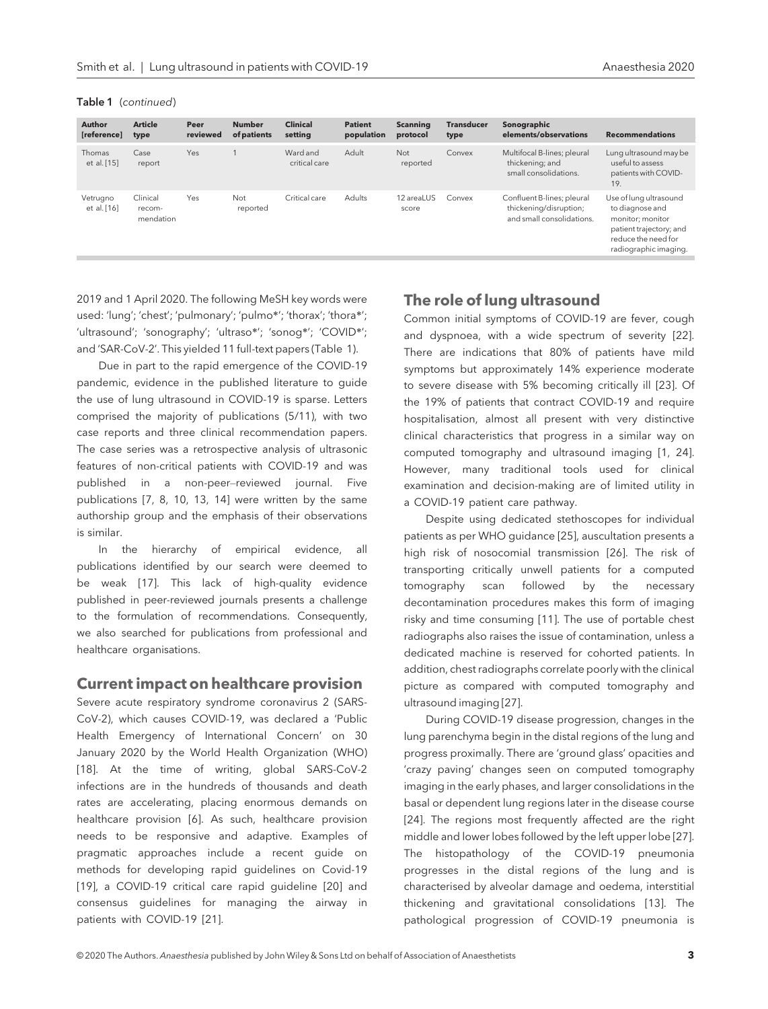Table 1 (continued)

Article type

Case report

Clinical recommendation

Author [reference]

Thomas et al. [15]

Vetrugno et al. [16]

score

Critical care Adults 12 areaLUS

2019 and 1 April 2020. The following MeSH key words were used: 'lung'; 'chest'; 'pulmonary'; 'pulmo\*'; 'thorax'; 'thora\*'; 'ultrasound'; 'sonography'; 'ultraso\*'; 'sonog\*'; 'COVID\*'; and 'SAR-CoV-2'. This yielded 11 full-text papers (Table 1).

Yes Not

reported

Due in part to the rapid emergence of the COVID-19 pandemic, evidence in the published literature to guide the use of lung ultrasound in COVID-19 is sparse. Letters comprised the majority of publications (5/11), with two case reports and three clinical recommendation papers. The case series was a retrospective analysis of ultrasonic features of non-critical patients with COVID-19 and was published in a non-peer–reviewed journal. Five publications [7, 8, 10, 13, 14] were written by the same authorship group and the emphasis of their observations is similar.

In the hierarchy of empirical evidence, all publications identified by our search were deemed to be weak [17]. This lack of high-quality evidence published in peer-reviewed journals presents a challenge to the formulation of recommendations. Consequently, we also searched for publications from professional and healthcare organisations.

#### Current impact on healthcare provision

Severe acute respiratory syndrome coronavirus 2 (SARS-CoV-2), which causes COVID-19, was declared a 'Public Health Emergency of International Concern' on 30 January 2020 by the World Health Organization (WHO) [18]. At the time of writing, global SARS-CoV-2 infections are in the hundreds of thousands and death rates are accelerating, placing enormous demands on healthcare provision [6]. As such, healthcare provision needs to be responsive and adaptive. Examples of pragmatic approaches include a recent guide on methods for developing rapid guidelines on Covid-19 [19], a COVID-19 critical care rapid guideline [20] and consensus guidelines for managing the airway in patients with COVID-19 [21].

## The role of lung ultrasound

Convex Confluent B-lines; pleural

thickening/disruption; and small consolidations.

Common initial symptoms of COVID-19 are fever, cough and dyspnoea, with a wide spectrum of severity [22]. There are indications that 80% of patients have mild symptoms but approximately 14% experience moderate to severe disease with 5% becoming critically ill [23]. Of the 19% of patients that contract COVID-19 and require hospitalisation, almost all present with very distinctive clinical characteristics that progress in a similar way on computed tomography and ultrasound imaging [1, 24]. However, many traditional tools used for clinical examination and decision-making are of limited utility in a COVID-19 patient care pathway.

Despite using dedicated stethoscopes for individual patients as per WHO guidance [25], auscultation presents a high risk of nosocomial transmission [26]. The risk of transporting critically unwell patients for a computed tomography scan followed by the necessary decontamination procedures makes this form of imaging risky and time consuming [11]. The use of portable chest radiographs also raises the issue of contamination, unless a dedicated machine is reserved for cohorted patients. In addition, chest radiographs correlate poorly with the clinical picture as compared with computed tomography and ultrasound imaging [27].

During COVID-19 disease progression, changes in the lung parenchyma begin in the distal regions of the lung and progress proximally. There are 'ground glass' opacities and 'crazy paving' changes seen on computed tomography imaging in the early phases, and larger consolidations in the basal or dependent lung regions later in the disease course [24]. The regions most frequently affected are the right middle and lower lobes followed by the left upper lobe [27]. The histopathology of the COVID-19 pneumonia progresses in the distal regions of the lung and is characterised by alveolar damage and oedema, interstitial thickening and gravitational consolidations [13]. The pathological progression of COVID-19 pneumonia is

19.

Use of lung ultrasound to diagnose and monitor; monitor patient trajectory; and reduce the need for radiographic imaging.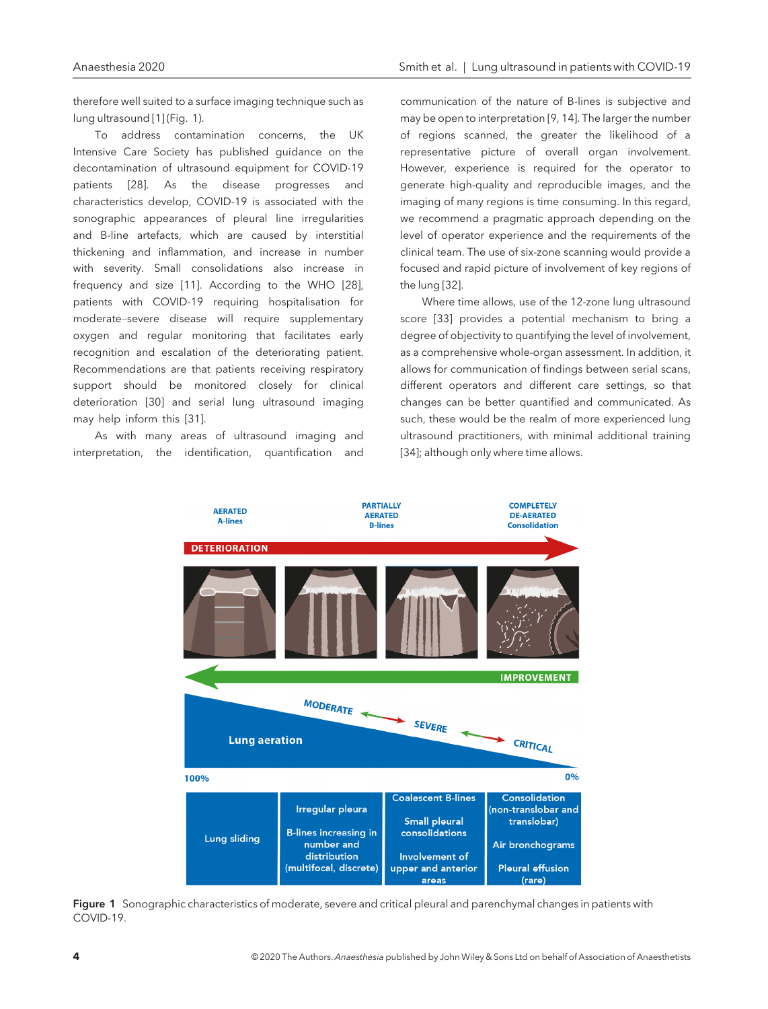therefore well suited to a surface imaging technique such as lung ultrasound [1] (Fig. 1).

To address contamination concerns, the UK Intensive Care Society has published guidance on the decontamination of ultrasound equipment for COVID-19 patients [28]. As the disease progresses and characteristics develop, COVID-19 is associated with the sonographic appearances of pleural line irregularities and B-line artefacts, which are caused by interstitial thickening and inflammation, and increase in number with severity. Small consolidations also increase in frequency and size [11]. According to the WHO [28], patients with COVID-19 requiring hospitalisation for moderate–severe disease will require supplementary oxygen and regular monitoring that facilitates early recognition and escalation of the deteriorating patient. Recommendations are that patients receiving respiratory support should be monitored closely for clinical deterioration [30] and serial lung ultrasound imaging may help inform this [31].

As with many areas of ultrasound imaging and interpretation, the identification, quantification and communication of the nature of B-lines is subjective and may be open to interpretation [9, 14]. The larger the number of regions scanned, the greater the likelihood of a representative picture of overall organ involvement. However, experience is required for the operator to generate high-quality and reproducible images, and the imaging of many regions is time consuming. In this regard, we recommend a pragmatic approach depending on the level of operator experience and the requirements of the clinical team. The use of six-zone scanning would provide a focused and rapid picture of involvement of key regions of the lung [32].

Where time allows, use of the 12-zone lung ultrasound score [33] provides a potential mechanism to bring a degree of objectivity to quantifying the level of involvement, as a comprehensive whole-organ assessment. In addition, it allows for communication of findings between serial scans, different operators and different care settings, so that changes can be better quantified and communicated. As such, these would be the realm of more experienced lung ultrasound practitioners, with minimal additional training [34]; although only where time allows.



Figure 1 Sonographic characteristics of moderate, severe and critical pleural and parenchymal changes in patients with COVID-19.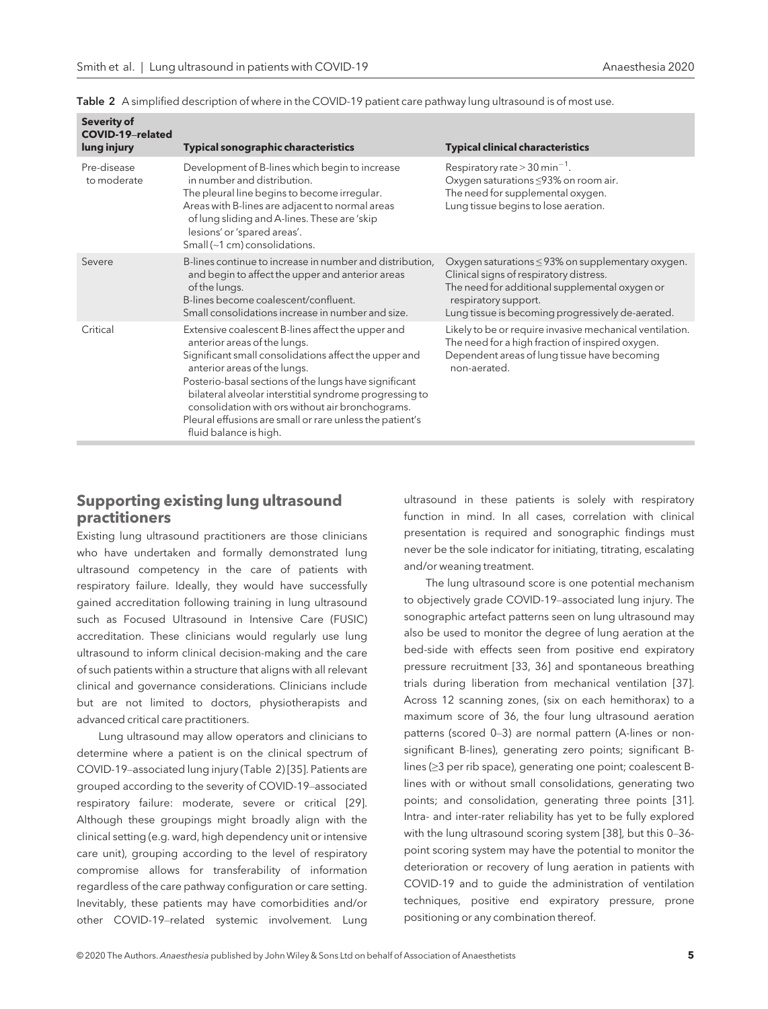| Severity of<br><b>COVID-19-related</b><br>lung injury | <b>Typical sonographic characteristics</b>                                                                                                                                                                                                                                                                                                                                                                                               | <b>Typical clinical characteristics</b>                                                                                                                                                                                          |
|-------------------------------------------------------|------------------------------------------------------------------------------------------------------------------------------------------------------------------------------------------------------------------------------------------------------------------------------------------------------------------------------------------------------------------------------------------------------------------------------------------|----------------------------------------------------------------------------------------------------------------------------------------------------------------------------------------------------------------------------------|
| Pre-disease<br>to moderate                            | Development of B-lines which begin to increase<br>in number and distribution.<br>The pleural line begins to become irregular.<br>Areas with B-lines are adjacent to normal areas<br>of lung sliding and A-lines. These are 'skip<br>lesions' or 'spared areas'.<br>Small (~1 cm) consolidations.                                                                                                                                         | Respiratory rate > 30 min <sup>-1</sup> .<br>Oxygen saturations ≤93% on room air.<br>The need for supplemental oxygen.<br>Lung tissue begins to lose aeration.                                                                   |
| Severe                                                | B-lines continue to increase in number and distribution,<br>and begin to affect the upper and anterior areas<br>of the lungs.<br>B-lines become coalescent/confluent.<br>Small consolidations increase in number and size.                                                                                                                                                                                                               | Oxygen saturations $\leq$ 93% on supplementary oxygen.<br>Clinical signs of respiratory distress.<br>The need for additional supplemental oxygen or<br>respiratory support.<br>Lung tissue is becoming progressively de-aerated. |
| Critical                                              | Extensive coalescent B-lines affect the upper and<br>anterior areas of the lungs.<br>Significant small consolidations affect the upper and<br>anterior areas of the lungs.<br>Posterio-basal sections of the lungs have significant<br>bilateral alveolar interstitial syndrome progressing to<br>consolidation with ors without air bronchograms.<br>Pleural effusions are small or rare unless the patient's<br>fluid balance is high. | Likely to be or require invasive mechanical ventilation.<br>The need for a high fraction of inspired oxygen.<br>Dependent areas of lung tissue have becoming<br>non-aerated.                                                     |

Table 2 A simplified description of where in the COVID-19 patient care pathway lung ultrasound is of most use.

#### Supporting existing lung ultrasound practitioners

Existing lung ultrasound practitioners are those clinicians who have undertaken and formally demonstrated lung ultrasound competency in the care of patients with respiratory failure. Ideally, they would have successfully gained accreditation following training in lung ultrasound such as Focused Ultrasound in Intensive Care (FUSIC) accreditation. These clinicians would regularly use lung ultrasound to inform clinical decision-making and the care of such patients within a structure that aligns with all relevant clinical and governance considerations. Clinicians include but are not limited to doctors, physiotherapists and advanced critical care practitioners.

Lung ultrasound may allow operators and clinicians to determine where a patient is on the clinical spectrum of COVID-19–associated lung injury (Table 2) [35]. Patients are grouped according to the severity of COVID-19–associated respiratory failure: moderate, severe or critical [29]. Although these groupings might broadly align with the clinical setting (e.g. ward, high dependency unit or intensive care unit), grouping according to the level of respiratory compromise allows for transferability of information regardless of the care pathway configuration or care setting. Inevitably, these patients may have comorbidities and/or other COVID-19–related systemic involvement. Lung

ultrasound in these patients is solely with respiratory function in mind. In all cases, correlation with clinical presentation is required and sonographic findings must never be the sole indicator for initiating, titrating, escalating and/or weaning treatment.

The lung ultrasound score is one potential mechanism to objectively grade COVID-19–associated lung injury. The sonographic artefact patterns seen on lung ultrasound may also be used to monitor the degree of lung aeration at the bed-side with effects seen from positive end expiratory pressure recruitment [33, 36] and spontaneous breathing trials during liberation from mechanical ventilation [37]. Across 12 scanning zones, (six on each hemithorax) to a maximum score of 36, the four lung ultrasound aeration patterns (scored 0–3) are normal pattern (A-lines or nonsignificant B-lines), generating zero points; significant Blines (≥3 per rib space), generating one point; coalescent Blines with or without small consolidations, generating two points; and consolidation, generating three points [31]. Intra- and inter-rater reliability has yet to be fully explored with the lung ultrasound scoring system [38], but this 0–36 point scoring system may have the potential to monitor the deterioration or recovery of lung aeration in patients with COVID-19 and to guide the administration of ventilation techniques, positive end expiratory pressure, prone positioning or any combination thereof.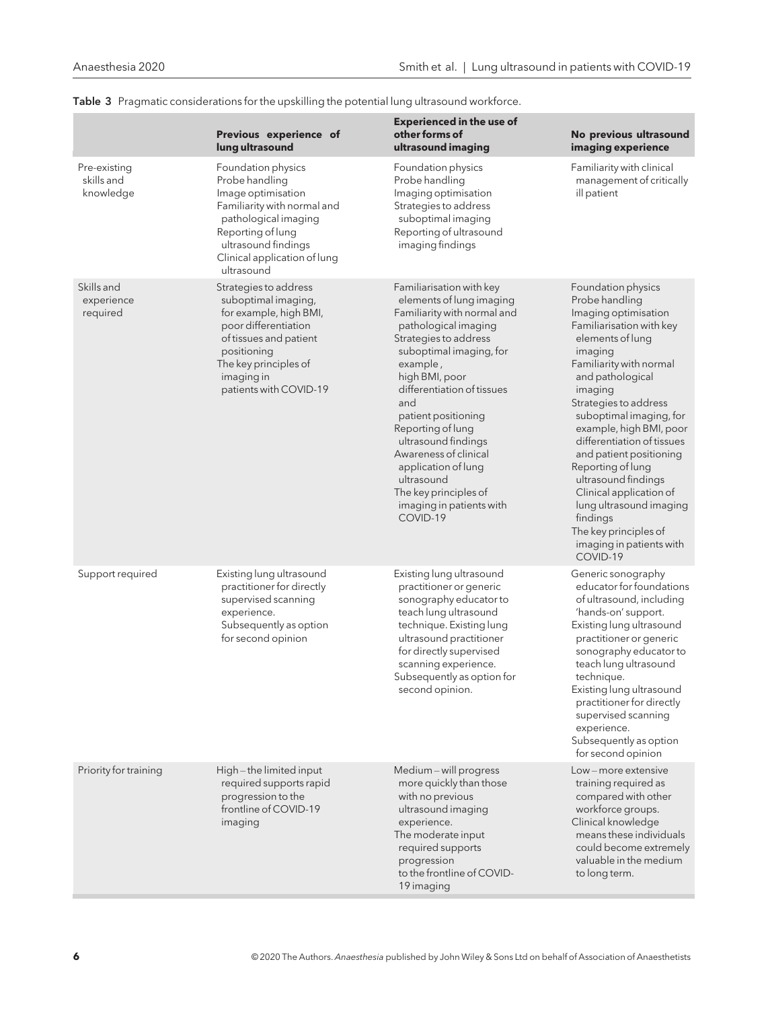|                                         | Previous experience of<br>lung ultrasound                                                                                                                                                                   | <b>Experienced in the use of</b><br>other forms of<br>ultrasound imaging                                                                                                                                                                                                                                                                                                                                                             | No previous ultrasound<br>imaging experience                                                                                                                                                                                                                                                                                                                                                                                                                                                             |
|-----------------------------------------|-------------------------------------------------------------------------------------------------------------------------------------------------------------------------------------------------------------|--------------------------------------------------------------------------------------------------------------------------------------------------------------------------------------------------------------------------------------------------------------------------------------------------------------------------------------------------------------------------------------------------------------------------------------|----------------------------------------------------------------------------------------------------------------------------------------------------------------------------------------------------------------------------------------------------------------------------------------------------------------------------------------------------------------------------------------------------------------------------------------------------------------------------------------------------------|
| Pre-existing<br>skills and<br>knowledge | Foundation physics<br>Probe handling<br>Image optimisation<br>Familiarity with normal and<br>pathological imaging<br>Reporting of lung<br>ultrasound findings<br>Clinical application of lung<br>ultrasound | Foundation physics<br>Probe handling<br>Imaging optimisation<br>Strategies to address<br>suboptimal imaging<br>Reporting of ultrasound<br>imaging findings                                                                                                                                                                                                                                                                           | Familiarity with clinical<br>management of critically<br>ill patient                                                                                                                                                                                                                                                                                                                                                                                                                                     |
| Skills and<br>experience<br>required    | Strategies to address<br>suboptimal imaging,<br>for example, high BMI,<br>poor differentiation<br>of tissues and patient<br>positioning<br>The key principles of<br>imaging in<br>patients with COVID-19    | Familiarisation with key<br>elements of lung imaging<br>Familiarity with normal and<br>pathological imaging<br>Strategies to address<br>suboptimal imaging, for<br>example,<br>high BMI, poor<br>differentiation of tissues<br>and<br>patient positioning<br>Reporting of lung<br>ultrasound findings<br>Awareness of clinical<br>application of lung<br>ultrasound<br>The key principles of<br>imaging in patients with<br>COVID-19 | Foundation physics<br>Probe handling<br>Imaging optimisation<br>Familiarisation with key<br>elements of lung<br>imaging<br>Familiarity with normal<br>and pathological<br>imaging<br>Strategies to address<br>suboptimal imaging, for<br>example, high BMI, poor<br>differentiation of tissues<br>and patient positioning<br>Reporting of lung<br>ultrasound findings<br>Clinical application of<br>lung ultrasound imaging<br>findings<br>The key principles of<br>imaging in patients with<br>COVID-19 |
| Support required                        | Existing lung ultrasound<br>practitioner for directly<br>supervised scanning<br>experience.<br>Subsequently as option<br>for second opinion                                                                 | Existing lung ultrasound<br>practitioner or generic<br>sonography educator to<br>teach lung ultrasound<br>technique. Existing lung<br>ultrasound practitioner<br>for directly supervised<br>scanning experience.<br>Subsequently as option for<br>second opinion.                                                                                                                                                                    | Generic sonography<br>educator for foundations<br>of ultrasound, including<br>'hands-on' support.<br>Existing lung ultrasound<br>practitioner or generic<br>sonography educator to<br>teach lung ultrasound<br>technique.<br>Existing lung ultrasound<br>practitioner for directly<br>supervised scanning<br>experience.<br>Subsequently as option<br>for second opinion                                                                                                                                 |
| Priority for training                   | High-the limited input<br>required supports rapid<br>progression to the<br>frontline of COVID-19<br>imaging                                                                                                 | Medium-will progress<br>more quickly than those<br>with no previous<br>ultrasound imaging<br>experience.<br>The moderate input<br>required supports<br>progression<br>to the frontline of COVID-<br>19 imaging                                                                                                                                                                                                                       | Low – more extensive<br>training required as<br>compared with other<br>workforce groups.<br>Clinical knowledge<br>means these individuals<br>could become extremely<br>valuable in the medium<br>to long term.                                                                                                                                                                                                                                                                                           |

Table 3 Pragmatic considerations for the upskilling the potential lung ultrasound workforce.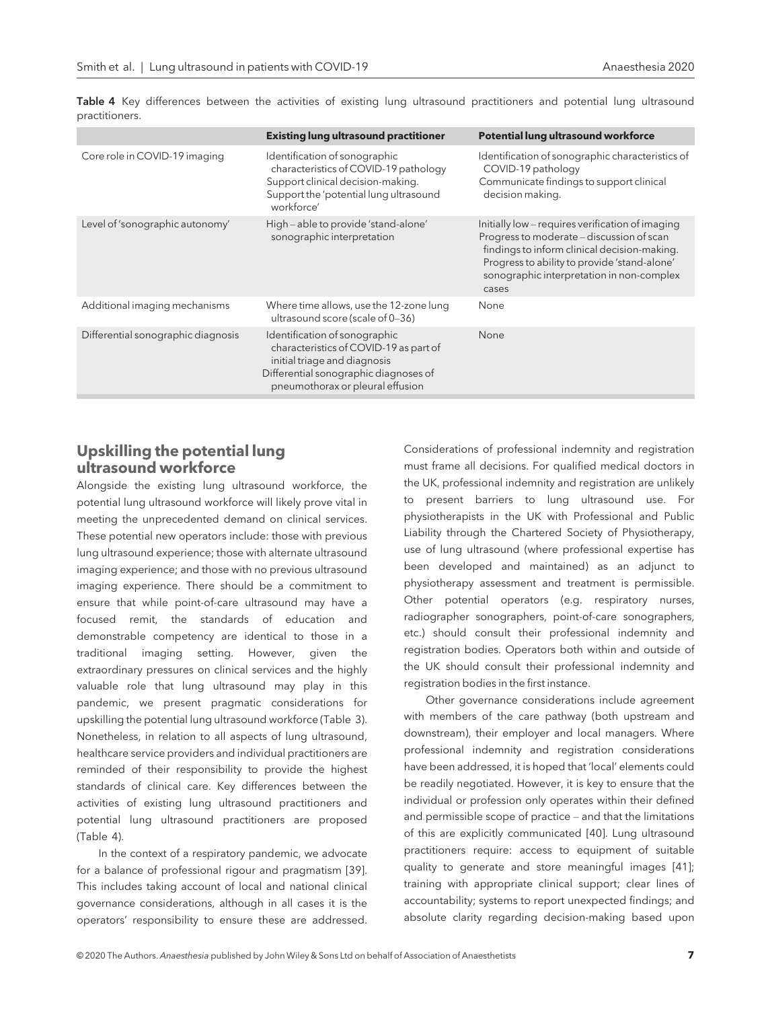|                                    | <b>Existing lung ultrasound practitioner</b>                                                                                                                                         | <b>Potential lung ultrasound workforce</b>                                                                                                                                                                                                          |
|------------------------------------|--------------------------------------------------------------------------------------------------------------------------------------------------------------------------------------|-----------------------------------------------------------------------------------------------------------------------------------------------------------------------------------------------------------------------------------------------------|
| Core role in COVID-19 imaging      | Identification of sonographic<br>characteristics of COVID-19 pathology<br>Support clinical decision-making.<br>Support the 'potential lung ultrasound<br>workforce'                  | Identification of sonographic characteristics of<br>COVID-19 pathology<br>Communicate findings to support clinical<br>decision making.                                                                                                              |
| Level of 'sonographic autonomy'    | High-able to provide 'stand-alone'<br>sonographic interpretation                                                                                                                     | Initially low – requires verification of imaging<br>Progress to moderate – discussion of scan<br>findings to inform clinical decision-making.<br>Progress to ability to provide 'stand-alone'<br>sonographic interpretation in non-complex<br>cases |
| Additional imaging mechanisms      | Where time allows, use the 12-zone lung<br>ultrasound score (scale of 0-36)                                                                                                          | None                                                                                                                                                                                                                                                |
| Differential sonographic diagnosis | Identification of sonographic<br>characteristics of COVID-19 as part of<br>initial triage and diagnosis<br>Differential sonographic diagnoses of<br>pneumothorax or pleural effusion | None                                                                                                                                                                                                                                                |

Table 4 Key differences between the activities of existing lung ultrasound practitioners and potential lung ultrasound practitioners.

## Upskilling the potential lung ultrasound workforce

Alongside the existing lung ultrasound workforce, the potential lung ultrasound workforce will likely prove vital in meeting the unprecedented demand on clinical services. These potential new operators include: those with previous lung ultrasound experience; those with alternate ultrasound imaging experience; and those with no previous ultrasound imaging experience. There should be a commitment to ensure that while point-of-care ultrasound may have a focused remit, the standards of education and demonstrable competency are identical to those in a traditional imaging setting. However, given the extraordinary pressures on clinical services and the highly valuable role that lung ultrasound may play in this pandemic, we present pragmatic considerations for upskilling the potential lung ultrasound workforce (Table 3). Nonetheless, in relation to all aspects of lung ultrasound, healthcare service providers and individual practitioners are reminded of their responsibility to provide the highest standards of clinical care. Key differences between the activities of existing lung ultrasound practitioners and potential lung ultrasound practitioners are proposed (Table 4).

In the context of a respiratory pandemic, we advocate for a balance of professional rigour and pragmatism [39]. This includes taking account of local and national clinical governance considerations, although in all cases it is the operators' responsibility to ensure these are addressed.

Considerations of professional indemnity and registration must frame all decisions. For qualified medical doctors in the UK, professional indemnity and registration are unlikely to present barriers to lung ultrasound use. For physiotherapists in the UK with Professional and Public Liability through the Chartered Society of Physiotherapy, use of lung ultrasound (where professional expertise has been developed and maintained) as an adjunct to physiotherapy assessment and treatment is permissible. Other potential operators (e.g. respiratory nurses, radiographer sonographers, point-of-care sonographers, etc.) should consult their professional indemnity and registration bodies. Operators both within and outside of the UK should consult their professional indemnity and registration bodies in the first instance.

Other governance considerations include agreement with members of the care pathway (both upstream and downstream), their employer and local managers. Where professional indemnity and registration considerations have been addressed, it is hoped that 'local' elements could be readily negotiated. However, it is key to ensure that the individual or profession only operates within their defined and permissible scope of practice – and that the limitations of this are explicitly communicated [40]. Lung ultrasound practitioners require: access to equipment of suitable quality to generate and store meaningful images [41]; training with appropriate clinical support; clear lines of accountability; systems to report unexpected findings; and absolute clarity regarding decision-making based upon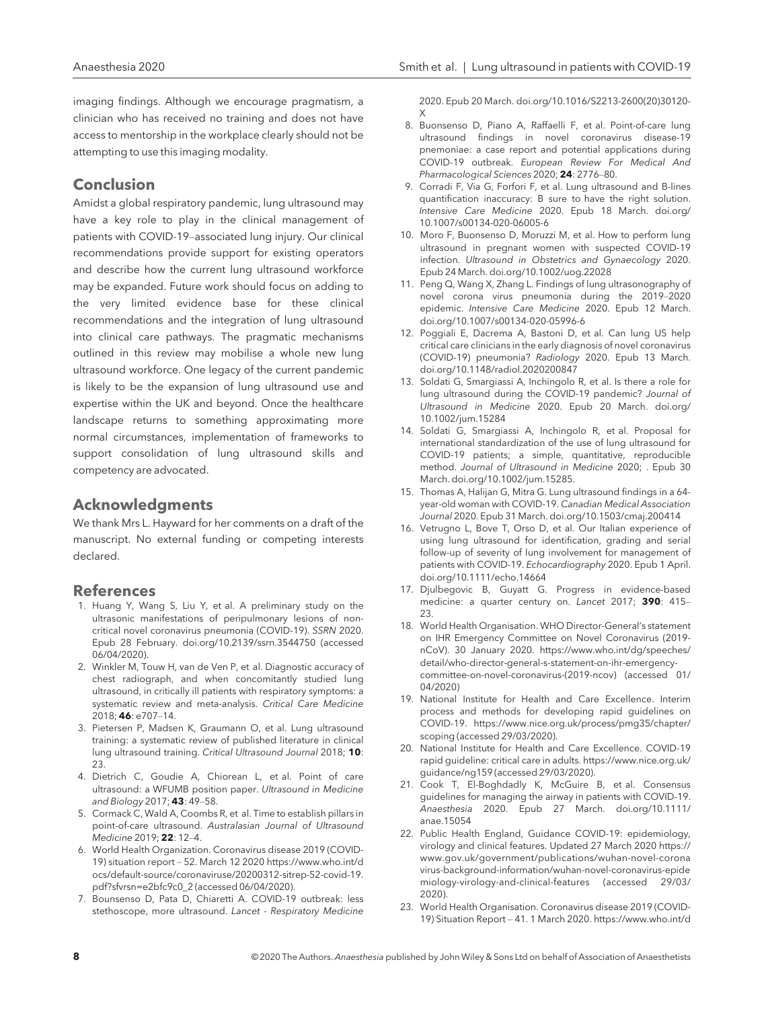imaging findings. Although we encourage pragmatism, a clinician who has received no training and does not have access to mentorship in the workplace clearly should not be attempting to use this imaging modality.

#### Conclusion

Amidst a global respiratory pandemic, lung ultrasound may have a key role to play in the clinical management of patients with COVID-19–associated lung injury. Our clinical recommendations provide support for existing operators and describe how the current lung ultrasound workforce may be expanded. Future work should focus on adding to the very limited evidence base for these clinical recommendations and the integration of lung ultrasound into clinical care pathways. The pragmatic mechanisms outlined in this review may mobilise a whole new lung ultrasound workforce. One legacy of the current pandemic is likely to be the expansion of lung ultrasound use and expertise within the UK and beyond. Once the healthcare landscape returns to something approximating more normal circumstances, implementation of frameworks to support consolidation of lung ultrasound skills and competency are advocated.

#### Acknowledgments

We thank Mrs L. Hayward for her comments on a draft of the manuscript. No external funding or competing interests declared.

#### References

- 1. Huang Y, Wang S, Liu Y, et al. A preliminary study on the ultrasonic manifestations of peripulmonary lesions of noncritical novel coronavirus pneumonia (COVID-19). SSRN 2020. Epub 28 February. doi.org/10.2139/ssrn.3544750 (accessed 06/04/2020).
- 2. Winkler M, Touw H, van de Ven P, et al. Diagnostic accuracy of chest radiograph, and when concomitantly studied lung ultrasound, in critically ill patients with respiratory symptoms: a systematic review and meta-analysis. Critical Care Medicine 2018; 46: e707–14.
- 3. Pietersen P, Madsen K, Graumann O, et al. Lung ultrasound training: a systematic review of published literature in clinical lung ultrasound training. Critical Ultrasound Journal 2018; 10: 23.
- 4. Dietrich C, Goudie A, Chiorean L, et al. Point of care ultrasound: a WFUMB position paper. Ultrasound in Medicine and Biology 2017; 43: 49–58.
- 5. Cormack C, Wald A, Coombs R, et al. Time to establish pillars in point-of-care ultrasound. Australasian Journal of Ultrasound Medicine 2019; 22: 12–4.
- 6. World Health Organization. Coronavirus disease 2019 (COVID-19) situation report – 52. March 12 2020 [https://www.who.int/d](https://www.who.int/docs/default-source/coronaviruse/20200312-sitrep-52-covid-19.pdf?sfvrsn=e2bfc9c0_2) [ocs/default-source/coronaviruse/20200312-sitrep-52-covid-19.](https://www.who.int/docs/default-source/coronaviruse/20200312-sitrep-52-covid-19.pdf?sfvrsn=e2bfc9c0_2) [pdf?sfvrsn=e2bfc9c0\\_2](https://www.who.int/docs/default-source/coronaviruse/20200312-sitrep-52-covid-19.pdf?sfvrsn=e2bfc9c0_2) (accessed 06/04/2020).
- 7. Bounsenso D, Pata D, Chiaretti A. COVID-19 outbreak: less stethoscope, more ultrasound. Lancet - Respiratory Medicine

2020. Epub 20 March. doi.org/10.1016/S2213-2600(20)30120- X

- 8. Buonsenso D, Piano A, Raffaelli F, et al. Point-of-care lung ultrasound findings in novel coronavirus disease-19 pnemoniae: a case report and potential applications during COVID-19 outbreak. European Review For Medical And Pharmacological Sciences 2020; 24: 2776-80.
- 9. Corradi F, Via G, Forfori F, et al. Lung ultrasound and B-lines quantification inaccuracy: B sure to have the right solution. Intensive Care Medicine 2020. Epub 18 March. doi.org/ 10.1007/s00134-020-06005-6
- 10. Moro F, Buonsenso D, Moruzzi M, et al. How to perform lung ultrasound in pregnant women with suspected COVID-19 infection. Ultrasound in Obstetrics and Gynaecology 2020. Epub 24 March. doi.org/10.1002/uog.22028
- 11. Peng Q, Wang X, Zhang L. Findings of lung ultrasonography of novel corona virus pneumonia during the 2019–2020 epidemic. Intensive Care Medicine 2020. Epub 12 March. doi.org/10.1007/s00134-020-05996-6
- 12. Poggiali E, Dacrema A, Bastoni D, et al. Can lung US help critical care clinicians in the early diagnosis of novel coronavirus (COVID-19) pneumonia? Radiology 2020. Epub 13 March. doi.org/10.1148/radiol.2020200847
- 13. Soldati G, Smargiassi A, Inchingolo R, et al. Is there a role for lung ultrasound during the COVID-19 pandemic? Journal of Ultrasound in Medicine 2020. Epub 20 March. doi.org/ 10.1002/jum.15284
- 14. Soldati G, Smargiassi A, Inchingolo R, et al. Proposal for international standardization of the use of lung ultrasound for COVID-19 patients; a simple, quantitative, reproducible method. Journal of Ultrasound in Medicine 2020; . Epub 30 March. doi.org/10.1002/jum.15285.
- 15. Thomas A, Halijan G, Mitra G. Lung ultrasound findings in a 64 year-old woman with COVID-19. Canadian Medical Association Journal 2020. Epub 31 March. doi.org/10.1503/cmaj.200414
- 16. Vetrugno L, Bove T, Orso D, et al. Our Italian experience of using lung ultrasound for identification, grading and serial follow-up of severity of lung involvement for management of patients with COVID-19. Echocardiography 2020. Epub 1 April. doi.org/10.1111/echo.14664
- 17. Djulbegovic B, Guyatt G. Progress in evidence-based medicine: a quarter century on. Lancet 2017; 390: 415-23.
- 18. World Health Organisation. WHO Director-General's statement on IHR Emergency Committee on Novel Coronavirus (2019 nCoV). 30 January 2020. [https://www.who.int/dg/speeches/](https://www.who.int/dg/speeches/detail/who-director-general-s-statement-on-ihr-emergency-committee-on-novel-coronavirus-(2019-ncov) [detail/who-director-general-s-statement-on-ihr-emergency](https://www.who.int/dg/speeches/detail/who-director-general-s-statement-on-ihr-emergency-committee-on-novel-coronavirus-(2019-ncov)[committee-on-novel-coronavirus-\(2019-ncov\)](https://www.who.int/dg/speeches/detail/who-director-general-s-statement-on-ihr-emergency-committee-on-novel-coronavirus-(2019-ncov) (accessed 01/ 04/2020)
- 19. National Institute for Health and Care Excellence. Interim process and methods for developing rapid guidelines on COVID-19. [https://www.nice.org.uk/process/pmg35/chapter/](https://www.nice.org.uk/process/pmg35/chapter/scoping) [scoping](https://www.nice.org.uk/process/pmg35/chapter/scoping) (accessed 29/03/2020).
- 20. National Institute for Health and Care Excellence. COVID-19 rapid guideline: critical care in adults. [https://www.nice.org.uk/](https://www.nice.org.uk/guidance/ng159) [guidance/ng159](https://www.nice.org.uk/guidance/ng159) (accessed 29/03/2020).
- 21. Cook T, El-Boghdadly K, McGuire B, et al. Consensus guidelines for managing the airway in patients with COVID-19. Anaesthesia 2020. Epub 27 March. doi.org/10.1111/ anae.15054
- 22. Public Health England, Guidance COVID-19: epidemiology, virology and clinical features. Updated 27 March 2020 [https://](https://www.gov.uk/government/publications/wuhan-novel-coronavirus-background-information/wuhan-novel-coronavirus-epidemiology-virology-and-clinical-features) [www.gov.uk/government/publications/wuhan-novel-corona](https://www.gov.uk/government/publications/wuhan-novel-coronavirus-background-information/wuhan-novel-coronavirus-epidemiology-virology-and-clinical-features) [virus-background-information/wuhan-novel-coronavirus-epide](https://www.gov.uk/government/publications/wuhan-novel-coronavirus-background-information/wuhan-novel-coronavirus-epidemiology-virology-and-clinical-features) [miology-virology-and-clinical-features](https://www.gov.uk/government/publications/wuhan-novel-coronavirus-background-information/wuhan-novel-coronavirus-epidemiology-virology-and-clinical-features) (accessed 29/03/ 2020).
- 23. World Health Organisation. Coronavirus disease 2019 (COVID-19) Situation Report – 41. 1 March 2020. [https://www.who.int/d](https://www.who.int/docs/default-source/coronaviruse/situation-reports/20200301-sitrep-41-covid-19.pdf?sfvrsn=6768306d_2)